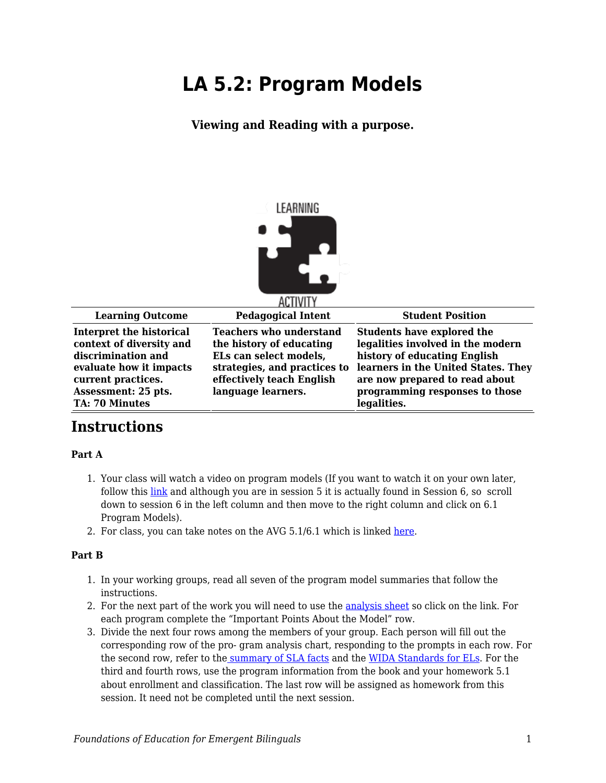# **LA 5.2: Program Models**

**Viewing and Reading with a purpose.**



| <b>Learning Outcome</b>                                                                                                                                                     | <b>Pedagogical Intent</b>                                                                                                                                               | <b>Student Position</b>                                                                                                                                                                                                          |
|-----------------------------------------------------------------------------------------------------------------------------------------------------------------------------|-------------------------------------------------------------------------------------------------------------------------------------------------------------------------|----------------------------------------------------------------------------------------------------------------------------------------------------------------------------------------------------------------------------------|
| Interpret the historical<br>context of diversity and<br>discrimination and<br>evaluate how it impacts<br>current practices.<br>Assessment: 25 pts.<br><b>TA: 70 Minutes</b> | <b>Teachers who understand</b><br>the history of educating<br>ELs can select models,<br>strategies, and practices to<br>effectively teach English<br>language learners. | <b>Students have explored the</b><br>legalities involved in the modern<br>history of educating English<br>learners in the United States. They<br>are now prepared to read about<br>programming responses to those<br>legalities. |

# **Instructions**

#### **Part A**

- 1. Your class will watch a video on program models (If you want to watch it on your own later, follow this [link](https://byu.box.com/s/m2o2945drpnjx8n022w5gyd5jsvflgj6) and although you are in session 5 it is actually found in Session 6, so scroll down to session 6 in the left column and then move to the right column and click on 6.1 Program Models).
- 2. For class, you can take notes on the AVG 5.1/6.1 which is linked [here.](https://byu.box.com/s/m2o2945drpnjx8n022w5gyd5jsvflgj6)

#### **Part B**

- 1. In your working groups, read all seven of the program model summaries that follow the instructions.
- 2. For the next part of the work you will need to use the [analysis sheet](https://byu.box.com/s/yh6y84nmfwzhzszrq8bcxsl1x3vmq1zo) so click on the link. For each program complete the "Important Points About the Model" row.
- 3. Divide the next four rows among the members of your group. Each person will fill out the corresponding row of the pro- gram analysis chart, responding to the prompts in each row. For the second row, refer to the [summary of SLA facts](https://byu.box.com/s/tmbkssuh1p0blisbm0skrxec3euwd5nw) and the [WIDA Standards for ELs.](https://byu.box.com/s/29qh3kms1q4o00e66cnf29gp4ml7fy70) For the third and fourth rows, use the program information from the book and your homework 5.1 about enrollment and classification. The last row will be assigned as homework from this session. It need not be completed until the next session.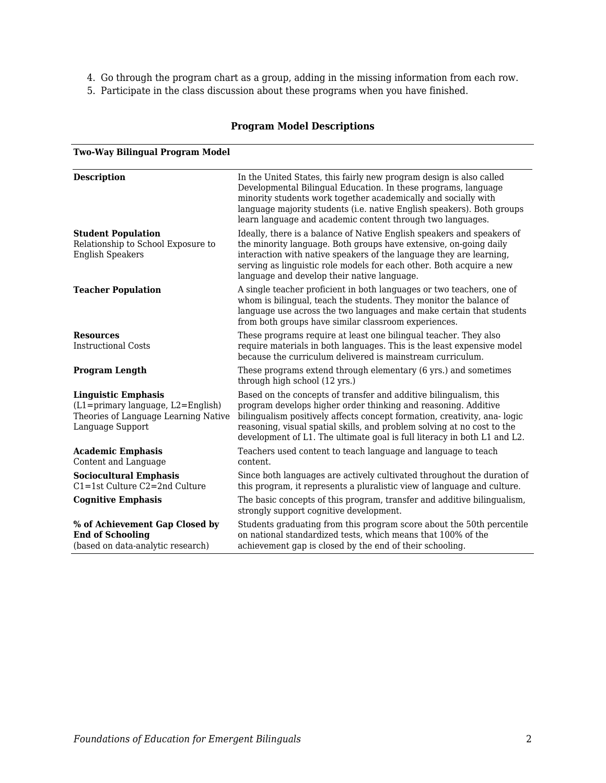- 4. Go through the program chart as a group, adding in the missing information from each row.
- 5. Participate in the class discussion about these programs when you have finished.

#### **Program Model Descriptions**

| <b>Two-Way Bilingual Program Model</b>                                                                                            |                                                                                                                                                                                                                                                                                                                                                                        |
|-----------------------------------------------------------------------------------------------------------------------------------|------------------------------------------------------------------------------------------------------------------------------------------------------------------------------------------------------------------------------------------------------------------------------------------------------------------------------------------------------------------------|
| <b>Description</b>                                                                                                                | In the United States, this fairly new program design is also called<br>Developmental Bilingual Education. In these programs, language<br>minority students work together academically and socially with<br>language majority students (i.e. native English speakers). Both groups<br>learn language and academic content through two languages.                        |
| <b>Student Population</b><br>Relationship to School Exposure to<br><b>English Speakers</b>                                        | Ideally, there is a balance of Native English speakers and speakers of<br>the minority language. Both groups have extensive, on-going daily<br>interaction with native speakers of the language they are learning,<br>serving as linguistic role models for each other. Both acquire a new<br>language and develop their native language.                              |
| <b>Teacher Population</b>                                                                                                         | A single teacher proficient in both languages or two teachers, one of<br>whom is bilingual, teach the students. They monitor the balance of<br>language use across the two languages and make certain that students<br>from both groups have similar classroom experiences.                                                                                            |
| <b>Resources</b><br><b>Instructional Costs</b>                                                                                    | These programs require at least one bilingual teacher. They also<br>require materials in both languages. This is the least expensive model<br>because the curriculum delivered is mainstream curriculum.                                                                                                                                                               |
| <b>Program Length</b>                                                                                                             | These programs extend through elementary (6 yrs.) and sometimes<br>through high school (12 yrs.)                                                                                                                                                                                                                                                                       |
| <b>Linguistic Emphasis</b><br>$(L1 = primary language, L2 = English)$<br>Theories of Language Learning Native<br>Language Support | Based on the concepts of transfer and additive bilingualism, this<br>program develops higher order thinking and reasoning. Additive<br>bilingualism positively affects concept formation, creativity, ana-logic<br>reasoning, visual spatial skills, and problem solving at no cost to the<br>development of L1. The ultimate goal is full literacy in both L1 and L2. |
| <b>Academic Emphasis</b><br>Content and Language                                                                                  | Teachers used content to teach language and language to teach<br>content.                                                                                                                                                                                                                                                                                              |
| <b>Sociocultural Emphasis</b><br>C1=1st Culture C2=2nd Culture                                                                    | Since both languages are actively cultivated throughout the duration of<br>this program, it represents a pluralistic view of language and culture.                                                                                                                                                                                                                     |
| <b>Cognitive Emphasis</b>                                                                                                         | The basic concepts of this program, transfer and additive bilingualism,<br>strongly support cognitive development.                                                                                                                                                                                                                                                     |
| % of Achievement Gap Closed by<br><b>End of Schooling</b><br>(based on data-analytic research)                                    | Students graduating from this program score about the 50th percentile<br>on national standardized tests, which means that 100% of the<br>achievement gap is closed by the end of their schooling.                                                                                                                                                                      |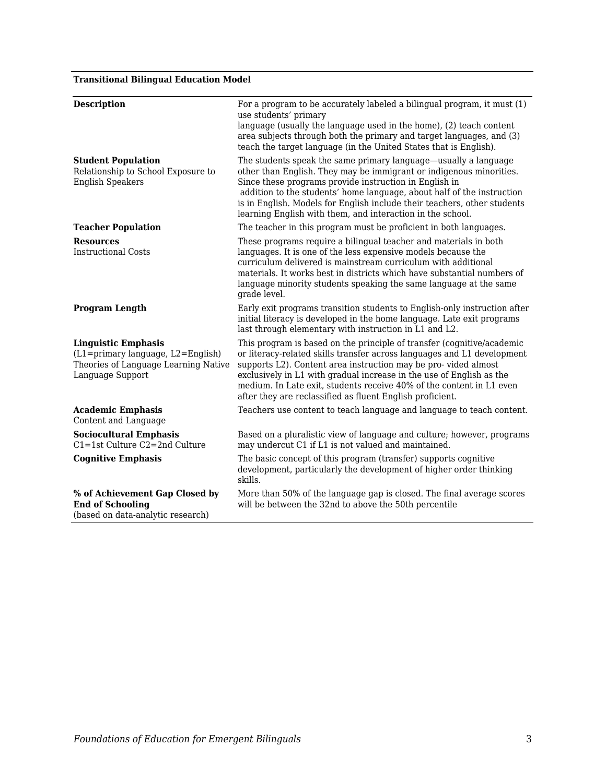## **Transitional Bilingual Education Model**

| <b>Description</b>                                                                                                                | For a program to be accurately labeled a bilingual program, it must (1)<br>use students' primary<br>language (usually the language used in the home), (2) teach content<br>area subjects through both the primary and target languages, and (3)<br>teach the target language (in the United States that is English).                                                                                                             |
|-----------------------------------------------------------------------------------------------------------------------------------|----------------------------------------------------------------------------------------------------------------------------------------------------------------------------------------------------------------------------------------------------------------------------------------------------------------------------------------------------------------------------------------------------------------------------------|
| <b>Student Population</b><br>Relationship to School Exposure to<br><b>English Speakers</b>                                        | The students speak the same primary language—usually a language<br>other than English. They may be immigrant or indigenous minorities.<br>Since these programs provide instruction in English in<br>addition to the students' home language, about half of the instruction<br>is in English. Models for English include their teachers, other students<br>learning English with them, and interaction in the school.             |
| <b>Teacher Population</b>                                                                                                         | The teacher in this program must be proficient in both languages.                                                                                                                                                                                                                                                                                                                                                                |
| <b>Resources</b><br><b>Instructional Costs</b>                                                                                    | These programs require a bilingual teacher and materials in both<br>languages. It is one of the less expensive models because the<br>curriculum delivered is mainstream curriculum with additional<br>materials. It works best in districts which have substantial numbers of<br>language minority students speaking the same language at the same<br>grade level.                                                               |
| <b>Program Length</b>                                                                                                             | Early exit programs transition students to English-only instruction after<br>initial literacy is developed in the home language. Late exit programs<br>last through elementary with instruction in L1 and L2.                                                                                                                                                                                                                    |
| <b>Linguistic Emphasis</b><br>$(L1 = primary language, L2 = English)$<br>Theories of Language Learning Native<br>Language Support | This program is based on the principle of transfer (cognitive/academic<br>or literacy-related skills transfer across languages and L1 development<br>supports L2). Content area instruction may be pro-vided almost<br>exclusively in L1 with gradual increase in the use of English as the<br>medium. In Late exit, students receive 40% of the content in L1 even<br>after they are reclassified as fluent English proficient. |
| <b>Academic Emphasis</b><br>Content and Language                                                                                  | Teachers use content to teach language and language to teach content.                                                                                                                                                                                                                                                                                                                                                            |
| <b>Sociocultural Emphasis</b><br>$C1 = 1$ st Culture $C2 = 2$ nd Culture                                                          | Based on a pluralistic view of language and culture; however, programs<br>may undercut C1 if L1 is not valued and maintained.                                                                                                                                                                                                                                                                                                    |
| <b>Cognitive Emphasis</b>                                                                                                         | The basic concept of this program (transfer) supports cognitive<br>development, particularly the development of higher order thinking<br>skills.                                                                                                                                                                                                                                                                                 |
| % of Achievement Gap Closed by<br><b>End of Schooling</b><br>(based on data-analytic research)                                    | More than 50% of the language gap is closed. The final average scores<br>will be between the 32nd to above the 50th percentile                                                                                                                                                                                                                                                                                                   |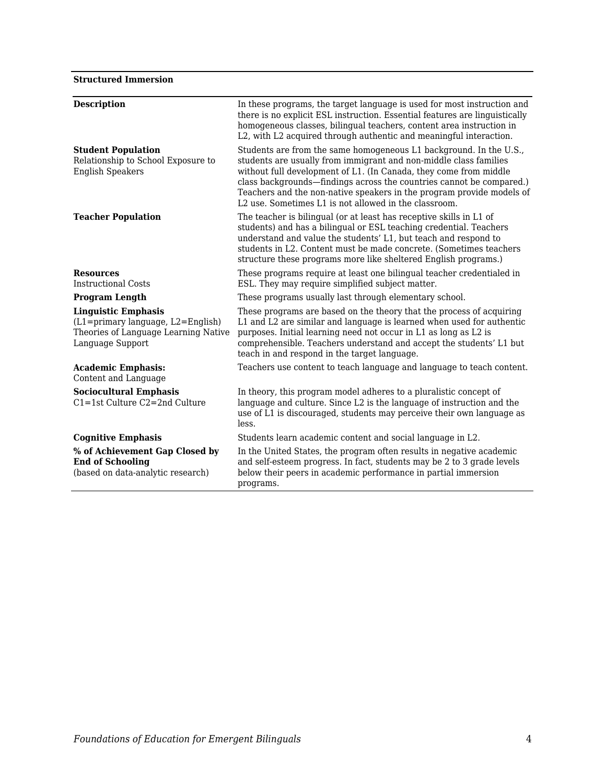#### **Structured Immersion**

| <b>Description</b>                                                                                                          | In these programs, the target language is used for most instruction and<br>there is no explicit ESL instruction. Essential features are linguistically<br>homogeneous classes, bilingual teachers, content area instruction in<br>L2, with L2 acquired through authentic and meaningful interaction.                                                                                                                                           |
|-----------------------------------------------------------------------------------------------------------------------------|------------------------------------------------------------------------------------------------------------------------------------------------------------------------------------------------------------------------------------------------------------------------------------------------------------------------------------------------------------------------------------------------------------------------------------------------|
| <b>Student Population</b><br>Relationship to School Exposure to<br><b>English Speakers</b>                                  | Students are from the same homogeneous L1 background. In the U.S.,<br>students are usually from immigrant and non-middle class families<br>without full development of L1. (In Canada, they come from middle<br>class backgrounds—findings across the countries cannot be compared.)<br>Teachers and the non-native speakers in the program provide models of<br>L <sub>2</sub> use. Sometimes L <sub>1</sub> is not allowed in the classroom. |
| <b>Teacher Population</b>                                                                                                   | The teacher is bilingual (or at least has receptive skills in L1 of<br>students) and has a bilingual or ESL teaching credential. Teachers<br>understand and value the students' L1, but teach and respond to<br>students in L2. Content must be made concrete. (Sometimes teachers<br>structure these programs more like sheltered English programs.)                                                                                          |
| <b>Resources</b><br>Instructional Costs                                                                                     | These programs require at least one bilingual teacher credentialed in<br>ESL. They may require simplified subject matter.                                                                                                                                                                                                                                                                                                                      |
| <b>Program Length</b>                                                                                                       | These programs usually last through elementary school.                                                                                                                                                                                                                                                                                                                                                                                         |
| <b>Linguistic Emphasis</b><br>(L1=primary language, L2=English)<br>Theories of Language Learning Native<br>Language Support | These programs are based on the theory that the process of acquiring<br>L1 and L2 are similar and language is learned when used for authentic<br>purposes. Initial learning need not occur in L1 as long as L2 is<br>comprehensible. Teachers understand and accept the students' L1 but<br>teach in and respond in the target language.                                                                                                       |
| <b>Academic Emphasis:</b><br>Content and Language                                                                           | Teachers use content to teach language and language to teach content.                                                                                                                                                                                                                                                                                                                                                                          |
| <b>Sociocultural Emphasis</b><br>$C1 = 1$ st Culture $C2 = 2$ nd Culture                                                    | In theory, this program model adheres to a pluralistic concept of<br>language and culture. Since L2 is the language of instruction and the<br>use of L1 is discouraged, students may perceive their own language as<br>less.                                                                                                                                                                                                                   |
| <b>Cognitive Emphasis</b>                                                                                                   | Students learn academic content and social language in L2.                                                                                                                                                                                                                                                                                                                                                                                     |
| % of Achievement Gap Closed by<br><b>End of Schooling</b><br>(based on data-analytic research)                              | In the United States, the program often results in negative academic<br>and self-esteem progress. In fact, students may be 2 to 3 grade levels<br>below their peers in academic performance in partial immersion<br>programs.                                                                                                                                                                                                                  |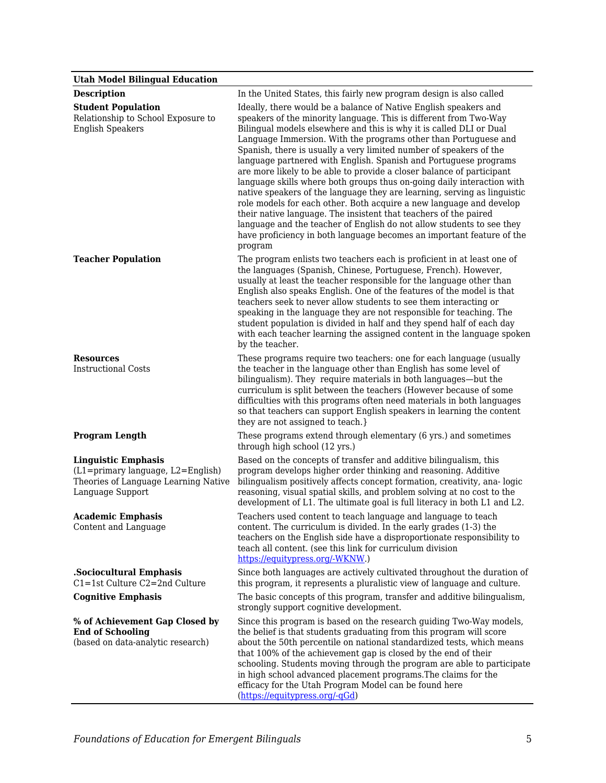## **Utah Model Bilingual Education**

| етан глопет виннуват пласатноп                                                                                              |                                                                                                                                                                                                                                                                                                                                                                                                                                                                                                                                                                                                                                                                                                                                                                                                                                                                                                                                                                  |
|-----------------------------------------------------------------------------------------------------------------------------|------------------------------------------------------------------------------------------------------------------------------------------------------------------------------------------------------------------------------------------------------------------------------------------------------------------------------------------------------------------------------------------------------------------------------------------------------------------------------------------------------------------------------------------------------------------------------------------------------------------------------------------------------------------------------------------------------------------------------------------------------------------------------------------------------------------------------------------------------------------------------------------------------------------------------------------------------------------|
| <b>Description</b>                                                                                                          | In the United States, this fairly new program design is also called                                                                                                                                                                                                                                                                                                                                                                                                                                                                                                                                                                                                                                                                                                                                                                                                                                                                                              |
| <b>Student Population</b><br>Relationship to School Exposure to<br><b>English Speakers</b>                                  | Ideally, there would be a balance of Native English speakers and<br>speakers of the minority language. This is different from Two-Way<br>Bilingual models elsewhere and this is why it is called DLI or Dual<br>Language Immersion. With the programs other than Portuguese and<br>Spanish, there is usually a very limited number of speakers of the<br>language partnered with English. Spanish and Portuguese programs<br>are more likely to be able to provide a closer balance of participant<br>language skills where both groups thus on-going daily interaction with<br>native speakers of the language they are learning, serving as linguistic<br>role models for each other. Both acquire a new language and develop<br>their native language. The insistent that teachers of the paired<br>language and the teacher of English do not allow students to see they<br>have proficiency in both language becomes an important feature of the<br>program |
| <b>Teacher Population</b>                                                                                                   | The program enlists two teachers each is proficient in at least one of<br>the languages (Spanish, Chinese, Portuguese, French). However,<br>usually at least the teacher responsible for the language other than<br>English also speaks English. One of the features of the model is that<br>teachers seek to never allow students to see them interacting or<br>speaking in the language they are not responsible for teaching. The<br>student population is divided in half and they spend half of each day<br>with each teacher learning the assigned content in the language spoken<br>by the teacher.                                                                                                                                                                                                                                                                                                                                                       |
| <b>Resources</b><br><b>Instructional Costs</b>                                                                              | These programs require two teachers: one for each language (usually<br>the teacher in the language other than English has some level of<br>bilingualism). They require materials in both languages—but the<br>curriculum is split between the teachers (However because of some<br>difficulties with this programs often need materials in both languages<br>so that teachers can support English speakers in learning the content<br>they are not assigned to teach.}                                                                                                                                                                                                                                                                                                                                                                                                                                                                                           |
| <b>Program Length</b>                                                                                                       | These programs extend through elementary (6 yrs.) and sometimes<br>through high school (12 yrs.)                                                                                                                                                                                                                                                                                                                                                                                                                                                                                                                                                                                                                                                                                                                                                                                                                                                                 |
| <b>Linguistic Emphasis</b><br>(L1=primary language, L2=English)<br>Theories of Language Learning Native<br>Language Support | Based on the concepts of transfer and additive bilingualism, this<br>program develops higher order thinking and reasoning. Additive<br>bilingualism positively affects concept formation, creativity, ana-logic<br>reasoning, visual spatial skills, and problem solving at no cost to the<br>development of L1. The ultimate goal is full literacy in both L1 and L2.                                                                                                                                                                                                                                                                                                                                                                                                                                                                                                                                                                                           |
| <b>Academic Emphasis</b><br>Content and Language                                                                            | Teachers used content to teach language and language to teach<br>content. The curriculum is divided. In the early grades (1-3) the<br>teachers on the English side have a disproportionate responsibility to<br>teach all content. (see this link for curriculum division<br>https://equitypress.org/-WKNW.)                                                                                                                                                                                                                                                                                                                                                                                                                                                                                                                                                                                                                                                     |
| .Sociocultural Emphasis                                                                                                     | Since both languages are actively cultivated throughout the duration of                                                                                                                                                                                                                                                                                                                                                                                                                                                                                                                                                                                                                                                                                                                                                                                                                                                                                          |
| C1=1st Culture C2=2nd Culture<br><b>Cognitive Emphasis</b>                                                                  | this program, it represents a pluralistic view of language and culture.<br>The basic concepts of this program, transfer and additive bilingualism,<br>strongly support cognitive development.                                                                                                                                                                                                                                                                                                                                                                                                                                                                                                                                                                                                                                                                                                                                                                    |
| % of Achievement Gap Closed by<br><b>End of Schooling</b><br>(based on data-analytic research)                              | Since this program is based on the research guiding Two-Way models,<br>the belief is that students graduating from this program will score<br>about the 50th percentile on national standardized tests, which means<br>that 100% of the achievement gap is closed by the end of their<br>schooling. Students moving through the program are able to participate<br>in high school advanced placement programs. The claims for the<br>efficacy for the Utah Program Model can be found here<br>(https://equitypress.org/-qGd)                                                                                                                                                                                                                                                                                                                                                                                                                                     |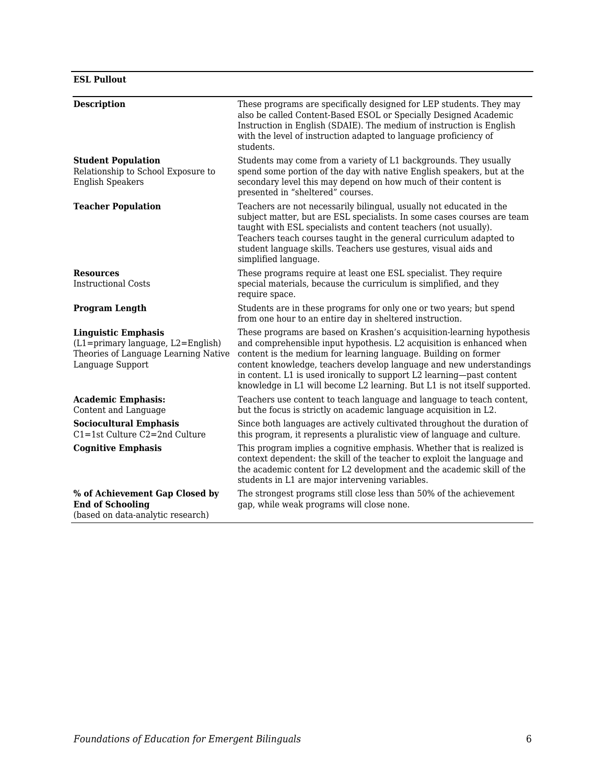#### **ESL Pullout**

| <b>Description</b>                                                                                                          | These programs are specifically designed for LEP students. They may                                                                                                                                                                                                                                                                                                                                                                          |
|-----------------------------------------------------------------------------------------------------------------------------|----------------------------------------------------------------------------------------------------------------------------------------------------------------------------------------------------------------------------------------------------------------------------------------------------------------------------------------------------------------------------------------------------------------------------------------------|
|                                                                                                                             | also be called Content-Based ESOL or Specially Designed Academic<br>Instruction in English (SDAIE). The medium of instruction is English<br>with the level of instruction adapted to language proficiency of<br>students.                                                                                                                                                                                                                    |
| <b>Student Population</b><br>Relationship to School Exposure to<br><b>English Speakers</b>                                  | Students may come from a variety of L1 backgrounds. They usually<br>spend some portion of the day with native English speakers, but at the<br>secondary level this may depend on how much of their content is<br>presented in "sheltered" courses.                                                                                                                                                                                           |
| <b>Teacher Population</b>                                                                                                   | Teachers are not necessarily bilingual, usually not educated in the<br>subject matter, but are ESL specialists. In some cases courses are team<br>taught with ESL specialists and content teachers (not usually).<br>Teachers teach courses taught in the general curriculum adapted to<br>student language skills. Teachers use gestures, visual aids and<br>simplified language.                                                           |
| <b>Resources</b><br><b>Instructional Costs</b>                                                                              | These programs require at least one ESL specialist. They require<br>special materials, because the curriculum is simplified, and they<br>require space.                                                                                                                                                                                                                                                                                      |
| <b>Program Length</b>                                                                                                       | Students are in these programs for only one or two years; but spend<br>from one hour to an entire day in sheltered instruction.                                                                                                                                                                                                                                                                                                              |
| <b>Linguistic Emphasis</b><br>(L1=primary language, L2=English)<br>Theories of Language Learning Native<br>Language Support | These programs are based on Krashen's acquisition-learning hypothesis<br>and comprehensible input hypothesis. L2 acquisition is enhanced when<br>content is the medium for learning language. Building on former<br>content knowledge, teachers develop language and new understandings<br>in content. L1 is used ironically to support L2 learning—past content<br>knowledge in L1 will become L2 learning. But L1 is not itself supported. |
| <b>Academic Emphasis:</b><br>Content and Language                                                                           | Teachers use content to teach language and language to teach content,<br>but the focus is strictly on academic language acquisition in L2.                                                                                                                                                                                                                                                                                                   |
| <b>Sociocultural Emphasis</b><br>$C1 = 1$ st Culture $C2 = 2$ nd Culture                                                    | Since both languages are actively cultivated throughout the duration of<br>this program, it represents a pluralistic view of language and culture.                                                                                                                                                                                                                                                                                           |
| <b>Cognitive Emphasis</b>                                                                                                   | This program implies a cognitive emphasis. Whether that is realized is<br>context dependent: the skill of the teacher to exploit the language and<br>the academic content for L2 development and the academic skill of the<br>students in L1 are major intervening variables.                                                                                                                                                                |
| % of Achievement Gap Closed by<br><b>End of Schooling</b><br>(based on data-analytic research)                              | The strongest programs still close less than 50% of the achievement<br>gap, while weak programs will close none.                                                                                                                                                                                                                                                                                                                             |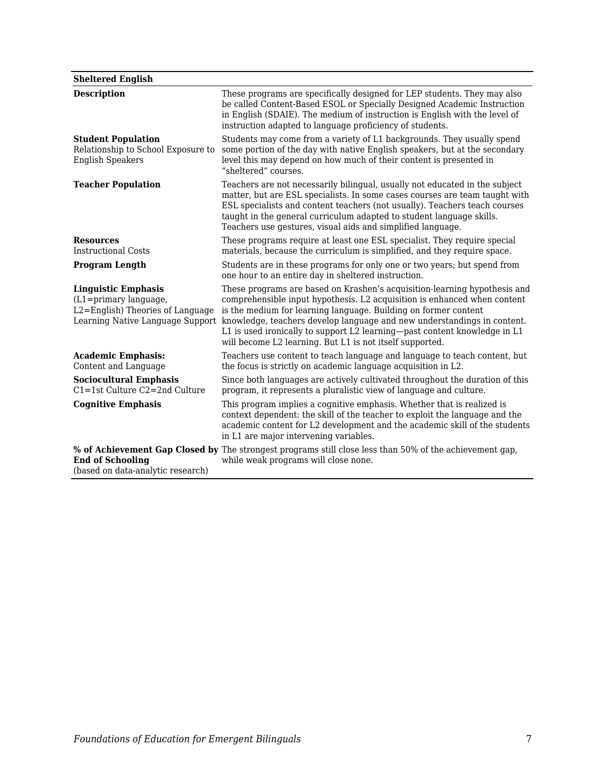#### **Sheltered English**

| <b>Description</b>                                                                                                                 | These programs are specifically designed for LEP students. They may also<br>be called Content-Based ESOL or Specially Designed Academic Instruction<br>in English (SDAIE). The medium of instruction is English with the level of<br>instruction adapted to language proficiency of students.                                                                                                                                                |
|------------------------------------------------------------------------------------------------------------------------------------|----------------------------------------------------------------------------------------------------------------------------------------------------------------------------------------------------------------------------------------------------------------------------------------------------------------------------------------------------------------------------------------------------------------------------------------------|
| <b>Student Population</b><br>Relationship to School Exposure to<br><b>English Speakers</b>                                         | Students may come from a variety of L1 backgrounds. They usually spend<br>some portion of the day with native English speakers, but at the secondary<br>level this may depend on how much of their content is presented in<br>"sheltered" courses.                                                                                                                                                                                           |
| <b>Teacher Population</b>                                                                                                          | Teachers are not necessarily bilingual, usually not educated in the subject<br>matter, but are ESL specialists. In some cases courses are team taught with<br>ESL specialists and content teachers (not usually). Teachers teach courses<br>taught in the general curriculum adapted to student language skills.<br>Teachers use gestures, visual aids and simplified language.                                                              |
| <b>Resources</b><br>Instructional Costs                                                                                            | These programs require at least one ESL specialist. They require special<br>materials, because the curriculum is simplified, and they require space.                                                                                                                                                                                                                                                                                         |
| <b>Program Length</b>                                                                                                              | Students are in these programs for only one or two years; but spend from<br>one hour to an entire day in sheltered instruction.                                                                                                                                                                                                                                                                                                              |
| <b>Linguistic Emphasis</b><br>$(L1 = primary \; language,$<br>L2=English) Theories of Language<br>Learning Native Language Support | These programs are based on Krashen's acquisition-learning hypothesis and<br>comprehensible input hypothesis. L2 acquisition is enhanced when content<br>is the medium for learning language. Building on former content<br>knowledge, teachers develop language and new understandings in content.<br>L1 is used ironically to support L2 learning-past content knowledge in L1<br>will become L2 learning. But L1 is not itself supported. |
| <b>Academic Emphasis:</b><br>Content and Language                                                                                  | Teachers use content to teach language and language to teach content, but<br>the focus is strictly on academic language acquisition in L2.                                                                                                                                                                                                                                                                                                   |
| <b>Sociocultural Emphasis</b><br>$C1 = 1$ st Culture $C2 = 2$ nd Culture                                                           | Since both languages are actively cultivated throughout the duration of this<br>program, it represents a pluralistic view of language and culture.                                                                                                                                                                                                                                                                                           |
| <b>Cognitive Emphasis</b>                                                                                                          | This program implies a cognitive emphasis. Whether that is realized is<br>context dependent: the skill of the teacher to exploit the language and the<br>academic content for L2 development and the academic skill of the students<br>in L1 are major intervening variables.                                                                                                                                                                |
| <b>End of Schooling</b><br>(based on data-analytic research)                                                                       | % of Achievement Gap Closed by The strongest programs still close less than 50% of the achievement gap,<br>while weak programs will close none.                                                                                                                                                                                                                                                                                              |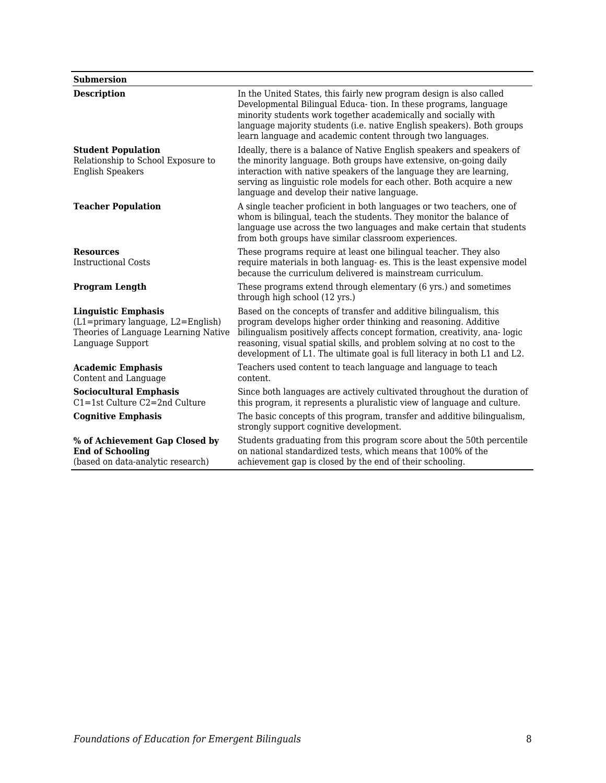#### **Submersion**

| <b>Description</b>                                                                                                          | In the United States, this fairly new program design is also called<br>Developmental Bilingual Educa-tion. In these programs, language<br>minority students work together academically and socially with<br>language majority students (i.e. native English speakers). Both groups<br>learn language and academic content through two languages.                       |
|-----------------------------------------------------------------------------------------------------------------------------|------------------------------------------------------------------------------------------------------------------------------------------------------------------------------------------------------------------------------------------------------------------------------------------------------------------------------------------------------------------------|
| <b>Student Population</b><br>Relationship to School Exposure to<br><b>English Speakers</b>                                  | Ideally, there is a balance of Native English speakers and speakers of<br>the minority language. Both groups have extensive, on-going daily<br>interaction with native speakers of the language they are learning,<br>serving as linguistic role models for each other. Both acquire a new<br>language and develop their native language.                              |
| <b>Teacher Population</b>                                                                                                   | A single teacher proficient in both languages or two teachers, one of<br>whom is bilingual, teach the students. They monitor the balance of<br>language use across the two languages and make certain that students<br>from both groups have similar classroom experiences.                                                                                            |
| <b>Resources</b><br><b>Instructional Costs</b>                                                                              | These programs require at least one bilingual teacher. They also<br>require materials in both languag- es. This is the least expensive model<br>because the curriculum delivered is mainstream curriculum.                                                                                                                                                             |
| <b>Program Length</b>                                                                                                       | These programs extend through elementary (6 yrs.) and sometimes<br>through high school (12 yrs.)                                                                                                                                                                                                                                                                       |
| <b>Linguistic Emphasis</b><br>(L1=primary language, L2=English)<br>Theories of Language Learning Native<br>Language Support | Based on the concepts of transfer and additive bilingualism, this<br>program develops higher order thinking and reasoning. Additive<br>bilingualism positively affects concept formation, creativity, ana-logic<br>reasoning, visual spatial skills, and problem solving at no cost to the<br>development of L1. The ultimate goal is full literacy in both L1 and L2. |
| <b>Academic Emphasis</b><br>Content and Language                                                                            | Teachers used content to teach language and language to teach<br>content.                                                                                                                                                                                                                                                                                              |
| <b>Sociocultural Emphasis</b><br>$C1 = 1$ st Culture $C2 = 2$ nd Culture                                                    | Since both languages are actively cultivated throughout the duration of<br>this program, it represents a pluralistic view of language and culture.                                                                                                                                                                                                                     |
| <b>Cognitive Emphasis</b>                                                                                                   | The basic concepts of this program, transfer and additive bilingualism,<br>strongly support cognitive development.                                                                                                                                                                                                                                                     |
| % of Achievement Gap Closed by<br><b>End of Schooling</b><br>(based on data-analytic research)                              | Students graduating from this program score about the 50th percentile<br>on national standardized tests, which means that 100% of the<br>achievement gap is closed by the end of their schooling.                                                                                                                                                                      |